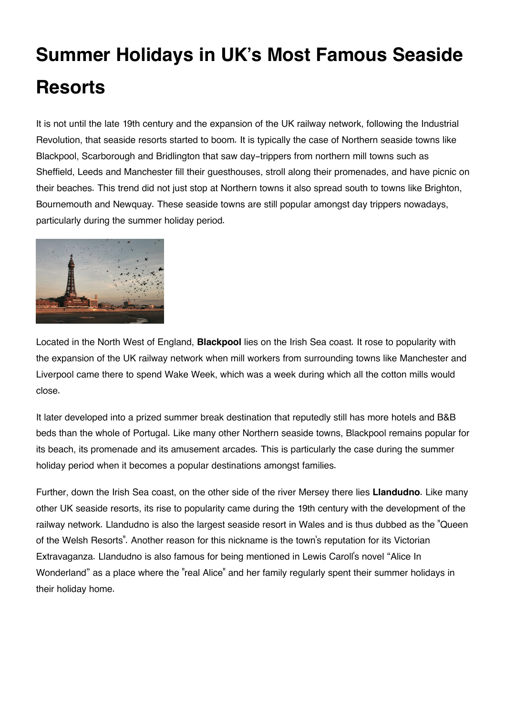## **Summer Holidays in UK's Most Famous Seaside Resorts**

It is not until the late 19th century and the expansion of the UK railway network, following the Industrial Revolution, that seaside resorts started to boom. It is typically the case of Northern seaside towns like Blackpool, Scarborough and Bridlington that saw day-trippers from northern mill towns such as Sheffield, Leeds and Manchester fill their guesthouses, stroll along their promenades, and have picnic on their beaches. This trend did not just stop at Northern towns it also spread south to towns like Brighton, Bournemouth and Newquay. These seaside towns are still popular amongst day trippers nowadays, particularly during the summer holiday period.



Located in the North West of England, **Blackpool** lies on the Irish Sea coast. It rose to popularity with the expansion of the UK railway network when mill workers from surrounding towns like Manchester and Liverpool came there to spend Wake Week, which was a week during which all the cotton mills would close.

It later developed into a prized summer break destination that reputedly still has more hotels and B&B beds than the whole of Portugal. Like many other Northern seaside towns, Blackpool remains popular for its beach, its promenade and its amusement arcades. This is particularly the case during the summer holiday period when it becomes a popular destinations amongst families.

Further, down the Irish Sea coast, on the other side of the river Mersey there lies **Llandudno**. Like many other UK seaside resorts, its rise to popularity came during the 19th century with the development of the railway network. Llandudno is also the largest seaside resort in Wales and is thus dubbed as the "Queen of the Welsh Resorts". Another reason for this nickname is the town's reputation for its Victorian Extravaganza. Llandudno is also famous for being mentioned in Lewis Caroll's novel "Alice In Wonderland" as a place where the "real Alice" and her family regularly spent their summer holidays in their holiday home.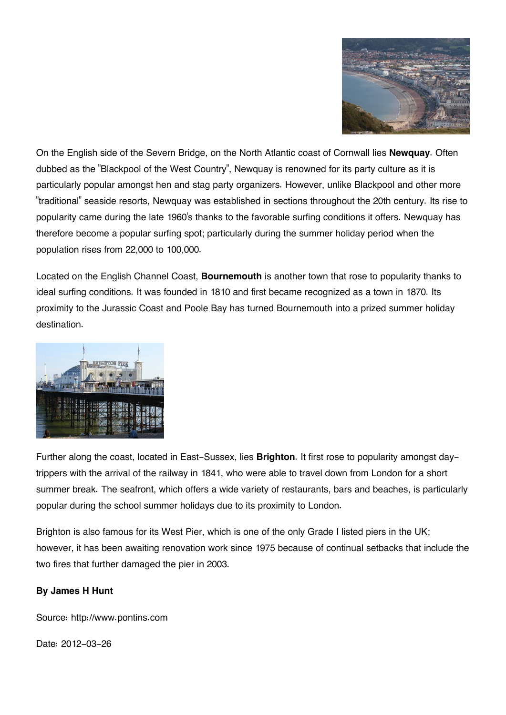

On the English side of the Severn Bridge, on the North Atlantic coast of Cornwall lies **Newquay**. Often dubbed as the "Blackpool of the West Country", Newquay is renowned for its party culture as it is particularly popular amongst hen and stag party organizers. However, unlike Blackpool and other more "traditional" seaside resorts, Newquay was established in sections throughout the 20th century. Its rise to popularity came during the late 1960's thanks to the favorable surfing conditions it offers. Newquay has therefore become a popular surfing spot; particularly during the summer holiday period when the population rises from 22,000 to 100,000.

Located on the English Channel Coast, **Bournemouth** is another town that rose to popularity thanks to ideal surfing conditions. It was founded in 1810 and first became recognized as a town in 1870. Its proximity to the Jurassic Coast and Poole Bay has turned Bournemouth into a prized summer holiday destination.



Further along the coast, located in East-Sussex, lies **Brighton**. It first rose to popularity amongst daytrippers with the arrival of the railway in 1841, who were able to travel down from London for a short summer break. The seafront, which offers a wide variety of restaurants, bars and beaches, is particularly popular during the school summer holidays due to its proximity to London.

Brighton is also famous for its West Pier, which is one of the only Grade I listed piers in the UK; however, it has been awaiting renovation work since 1975 because of continual setbacks that include the two fires that further damaged the pier in 2003.

## **By James H Hunt**

Source: http://www.pontins.com

Date: 2012-03-26